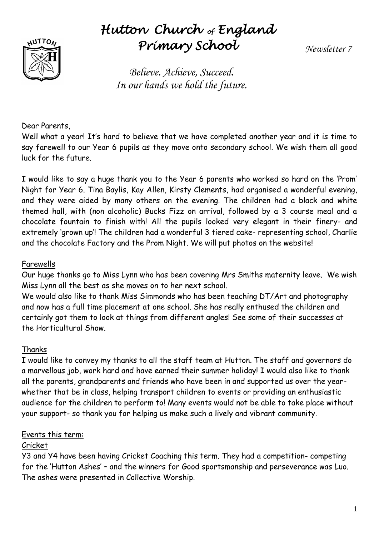

# *Hutton Church of England Primary School*

*Newsletter 7*

*Believe. Achieve, Succeed. In our hands we hold the future.*

Dear Parents,

Well what a year! It's hard to believe that we have completed another year and it is time to say farewell to our Year 6 pupils as they move onto secondary school. We wish them all good luck for the future.

I would like to say a huge thank you to the Year 6 parents who worked so hard on the 'Prom' Night for Year 6. Tina Baylis, Kay Allen, Kirsty Clements, had organised a wonderful evening, and they were aided by many others on the evening. The children had a black and white themed hall, with (non alcoholic) Bucks Fizz on arrival, followed by a 3 course meal and a chocolate fountain to finish with! All the pupils looked very elegant in their finery- and extremely 'grown up'! The children had a wonderful 3 tiered cake- representing school, Charlie and the chocolate Factory and the Prom Night. We will put photos on the website!

#### Farewells

Our huge thanks go to Miss Lynn who has been covering Mrs Smiths maternity leave. We wish Miss Lynn all the best as she moves on to her next school.

We would also like to thank Miss Simmonds who has been teaching DT/Art and photography and now has a full time placement at one school. She has really enthused the children and certainly got them to look at things from different angles! See some of their successes at the Horticultural Show.

#### Thanks

I would like to convey my thanks to all the staff team at Hutton. The staff and governors do a marvellous job, work hard and have earned their summer holiday! I would also like to thank all the parents, grandparents and friends who have been in and supported us over the yearwhether that be in class, helping transport children to events or providing an enthusiastic audience for the children to perform to! Many events would not be able to take place without your support- so thank you for helping us make such a lively and vibrant community.

#### Events this term:

#### Cricket

Y3 and Y4 have been having Cricket Coaching this term. They had a competition- competing for the 'Hutton Ashes' – and the winners for Good sportsmanship and perseverance was Luo. The ashes were presented in Collective Worship.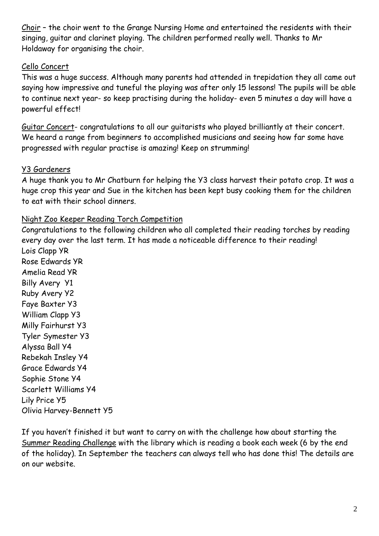Choir – the choir went to the Grange Nursing Home and entertained the residents with their singing, guitar and clarinet playing. The children performed really well. Thanks to Mr Holdaway for organising the choir.

#### Cello Concert

This was a huge success. Although many parents had attended in trepidation they all came out saying how impressive and tuneful the playing was after only 15 lessons! The pupils will be able to continue next year- so keep practising during the holiday- even 5 minutes a day will have a powerful effect!

Guitar Concert- congratulations to all our guitarists who played brilliantly at their concert. We heard a range from beginners to accomplished musicians and seeing how far some have progressed with regular practise is amazing! Keep on strumming!

## Y3 Gardeners

A huge thank you to Mr Chatburn for helping the Y3 class harvest their potato crop. It was a huge crop this year and Sue in the kitchen has been kept busy cooking them for the children to eat with their school dinners.

## Night Zoo Keeper Reading Torch Competition

Congratulations to the following children who all completed their reading torches by reading every day over the last term. It has made a noticeable difference to their reading! Lois Clapp YR Rose Edwards YR Amelia Read YR Billy Avery Y1 Ruby Avery Y2 Faye Baxter Y3 William Clapp Y3 Milly Fairhurst Y3 Tyler Symester Y3 Alyssa Ball Y4 Rebekah Insley Y4 Grace Edwards Y4 Sophie Stone Y4 Scarlett Williams Y4 Lily Price Y5 Olivia Harvey-Bennett Y5

If you haven't finished it but want to carry on with the challenge how about starting the Summer Reading Challenge with the library which is reading a book each week (6 by the end of the holiday). In September the teachers can always tell who has done this! The details are on our website.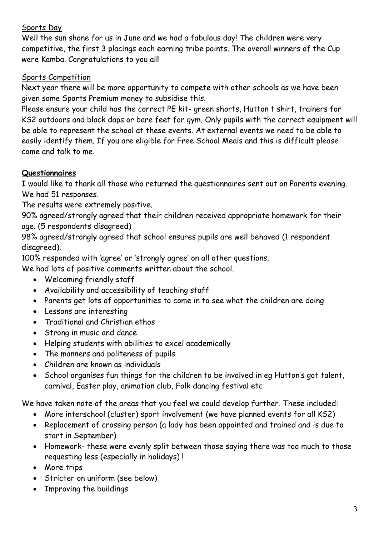## Sports Day

Well the sun shone for us in June and we had a fabulous day! The children were very competitive, the first 3 placings each earning tribe points. The overall winners of the Cup were Kamba. Congratulations to you all!

#### Sports Competition

Next year there will be more opportunity to compete with other schools as we have been given some Sports Premium money to subsidise this.

Please ensure your child has the correct PE kit- green shorts, Hutton t shirt, trainers for KS2 outdoors and black daps or bare feet for gym. Only pupils with the correct equipment will be able to represent the school at these events. At external events we need to be able to easily identify them. If you are eligible for Free School Meals and this is difficult please come and talk to me.

#### **Questionnaires**

I would like to thank all those who returned the questionnaires sent out on Parents evening. We had 51 responses.

The results were extremely positive.

90% agreed/strongly agreed that their children received appropriate homework for their age. (5 respondents disagreed)

98% agreed/strongly agreed that school ensures pupils are well behaved (1 respondent disagreed).

100% responded with 'agree' or 'strongly agree' on all other questions.

We had lots of positive comments written about the school.

- Welcoming friendly staff
- Availability and accessibility of teaching staff
- Parents get lots of opportunities to come in to see what the children are doing.
- Lessons are interesting
- Traditional and Christian ethos
- Strong in music and dance
- Helping students with abilities to excel academically
- The manners and politeness of pupils
- Children are known as individuals
- School organises fun things for the children to be involved in eg Hutton's got talent, carnival, Easter play, animation club, Folk dancing festival etc

We have taken note of the areas that you feel we could develop further. These included:

- More interschool (cluster) sport involvement (we have planned events for all KS2)
- Replacement of crossing person (a lady has been appointed and trained and is due to start in September)
- Homework- these were evenly split between those saying there was too much to those requesting less (especially in holidays) !
- More trips
- Stricter on uniform (see below)
- Improving the buildings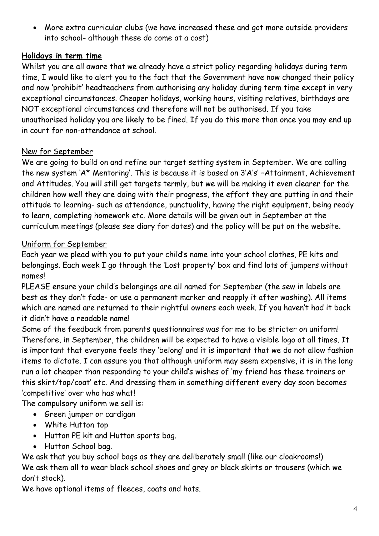More extra curricular clubs (we have increased these and got more outside providers into school- although these do come at a cost)

# **Holidays in term time**

Whilst you are all aware that we already have a strict policy regarding holidays during term time, I would like to alert you to the fact that the Government have now changed their policy and now 'prohibit' headteachers from authorising any holiday during term time except in very exceptional circumstances. Cheaper holidays, working hours, visiting relatives, birthdays are NOT exceptional circumstances and therefore will not be authorised. If you take unauthorised holiday you are likely to be fined. If you do this more than once you may end up in court for non-attendance at school.

# New for September

We are going to build on and refine our target setting system in September. We are calling the new system 'A\* Mentoring'. This is because it is based on 3'A's' –Attainment, Achievement and Attitudes. You will still get targets termly, but we will be making it even clearer for the children how well they are doing with their progress, the effort they are putting in and their attitude to learning- such as attendance, punctuality, having the right equipment, being ready to learn, completing homework etc. More details will be given out in September at the curriculum meetings (please see diary for dates) and the policy will be put on the website.

## Uniform for September

Each year we plead with you to put your child's name into your school clothes, PE kits and belongings. Each week I go through the 'Lost property' box and find lots of jumpers without names!

PLEASE ensure your child's belongings are all named for September (the sew in labels are best as they don't fade- or use a permanent marker and reapply it after washing). All items which are named are returned to their rightful owners each week. If you haven't had it back it didn't have a readable name!

Some of the feedback from parents questionnaires was for me to be stricter on uniform! Therefore, in September, the children will be expected to have a visible logo at all times. It is important that everyone feels they 'belong' and it is important that we do not allow fashion items to dictate. I can assure you that although uniform may seem expensive, it is in the long run a lot cheaper than responding to your child's wishes of 'my friend has these trainers or this skirt/top/coat' etc. And dressing them in something different every day soon becomes 'competitive' over who has what!

The compulsory uniform we sell is:

- Green jumper or cardigan
- White Hutton top
- Hutton PE kit and Hutton sports bag.
- Hutton School bag.

We ask that you buy school bags as they are deliberately small (like our cloakrooms!) We ask them all to wear black school shoes and grey or black skirts or trousers (which we don't stock).

We have optional items of fleeces, coats and hats.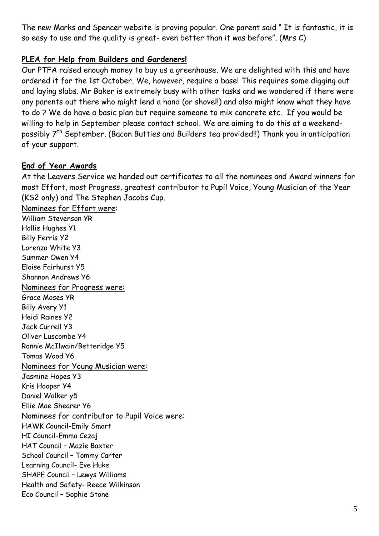The new Marks and Spencer website is proving popular. One parent said " It is fantastic, it is so easy to use and the quality is great- even better than it was before". (Mrs C)

#### **PLEA for Help from Builders and Gardeners!**

Our PTFA raised enough money to buy us a greenhouse. We are delighted with this and have ordered it for the 1st October. We, however, require a base! This requires some digging out and laying slabs. Mr Baker is extremely busy with other tasks and we wondered if there were any parents out there who might lend a hand (or shovel!) and also might know what they have to do ? We do have a basic plan but require someone to mix concrete etc. If you would be willing to help in September please contact school. We are aiming to do this at a weekendpossibly 7<sup>th</sup> September. (Bacon Butties and Builders tea provided!!) Thank you in anticipation of your support.

#### **End of Year Awards**

At the Leavers Service we handed out certificates to all the nominees and Award winners for most Effort, most Progress, greatest contributor to Pupil Voice, Young Musician of the Year (KS2 only) and The Stephen Jacobs Cup.

Nominees for Effort were: William Stevenson YR Hollie Hughes Y1 Billy Ferris Y2 Lorenzo White Y3 Summer Owen Y4 Eloise Fairhurst Y5 Shannon Andrews Y6 Nominees for Progress were: Grace Moses YR Billy Avery Y1 Heidi Raines Y2 Jack Currell Y3 Oliver Luscombe Y4 Ronnie McIlwain/Betteridge Y5 Tomas Wood Y6 Nominees for Young Musician were: Jasmine Hopes Y3 Kris Hooper Y4 Daniel Walker y5 Ellie Mae Shearer Y6 Nominees for contributor to Pupil Voice were: HAWK Council-Emily Smart HI Council-Emma Cezaj HAT Council – Mazie Baxter School Council – Tommy Carter Learning Council- Eve Huke SHAPE Council – Lewys Williams Health and Safety- Reece Wilkinson Eco Council – Sophie Stone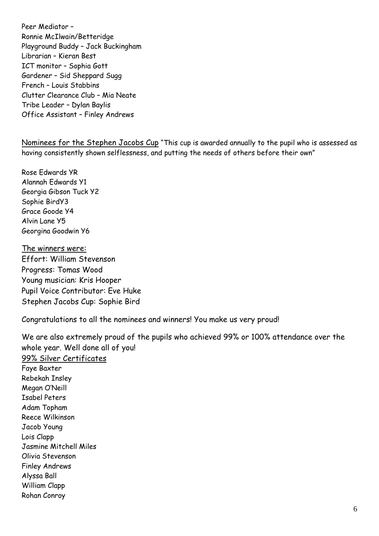Peer Mediator – Ronnie McIlwain/Betteridge Playground Buddy – Jack Buckingham Librarian – Kieran Best ICT monitor – Sophia Gott Gardener – Sid Sheppard Sugg French – Louis Stabbins Clutter Clearance Club – Mia Neate Tribe Leader – Dylan Baylis Office Assistant – Finley Andrews

Nominees for the Stephen Jacobs Cup "This cup is awarded annually to the pupil who is assessed as having consistently shown selflessness, and putting the needs of others before their own"

Rose Edwards YR Alannah Edwards Y1 Georgia Gibson Tuck Y2 Sophie BirdY3 Grace Goode Y4 Alvin Lane Y5 Georgina Goodwin Y6

The winners were: Effort: William Stevenson Progress: Tomas Wood Young musician: Kris Hooper Pupil Voice Contributor: Eve Huke Stephen Jacobs Cup: Sophie Bird

Congratulations to all the nominees and winners! You make us very proud!

We are also extremely proud of the pupils who achieved 99% or 100% attendance over the whole year. Well done all of you! 99% Silver Certificates Faye Baxter Rebekah Insley Megan O'Neill Isabel Peters Adam Topham Reece Wilkinson Jacob Young Lois Clapp Jasmine Mitchell Miles Olivia Stevenson Finley Andrews Alyssa Ball William Clapp Rohan Conroy